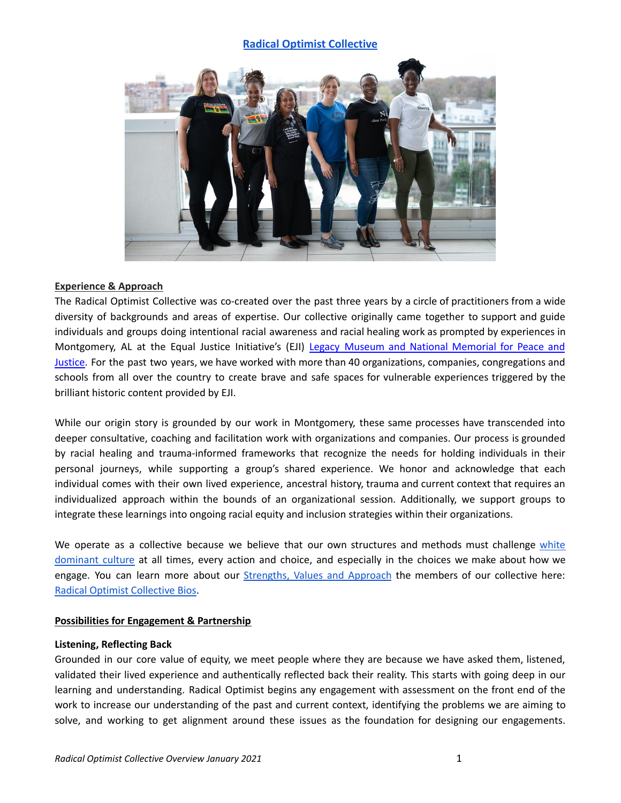# **[Radical Optimist Collective](http://www.theradicaloptimist.com/)**



## **Experience & Approach**

The Radical Optimist Collective was co-created over the past three years by a circle of practitioners from a wide diversity of backgrounds and areas of expertise. Our collective originally came together to support and guide individuals and groups doing intentional racial awareness and racial healing work as prompted by experiences in Montgomery, AL at the Equal Justice Initiative's (EJI) Legacy Museum and National [Memorial](https://museumandmemorial.eji.org/museum) for Peace and [Justice.](https://museumandmemorial.eji.org/museum) For the past two years, we have worked with more than 40 organizations, companies, congregations and schools from all over the country to create brave and safe spaces for vulnerable experiences triggered by the brilliant historic content provided by EJI.

While our origin story is grounded by our work in Montgomery, these same processes have transcended into deeper consultative, coaching and facilitation work with organizations and companies. Our process is grounded by racial healing and trauma-informed frameworks that recognize the needs for holding individuals in their personal journeys, while supporting a group's shared experience. We honor and acknowledge that each individual comes with their own lived experience, ancestral history, trauma and current context that requires an individualized approach within the bounds of an organizational session. Additionally, we support groups to integrate these learnings into ongoing racial equity and inclusion strategies within their organizations.

We operate as a collective because we believe that our own structures and methods must challenge [white](https://docs.google.com/document/d/1SzleShMrx18_m0rtTrdMlt1uFxRgJ2LxYOUrJ1RlE1U/edit?usp=sharing) [dominant](https://docs.google.com/document/d/1SzleShMrx18_m0rtTrdMlt1uFxRgJ2LxYOUrJ1RlE1U/edit?usp=sharing) culture at all times, every action and choice, and especially in the choices we make about how we engage. You can learn more about our [Strengths,](https://docs.google.com/document/d/1WYe_jdO44QEBi-nZaFyax2juc51fhv9nX82Mr_YcNcE/edit?usp=sharing) Values and Approach the members of our collective here: Radical Optimist [Collective](https://exm.76e.myftpupload.com/wp-content/uploads/2020/04/Radical-Optimist-Collective-onesheet.pdf) Bios.

## **Possibilities for Engagement & Partnership**

## **Listening, Reflecting Back**

Grounded in our core value of equity, we meet people where they are because we have asked them, listened, validated their lived experience and authentically reflected back their reality. This starts with going deep in our learning and understanding. Radical Optimist begins any engagement with assessment on the front end of the work to increase our understanding of the past and current context, identifying the problems we are aiming to solve, and working to get alignment around these issues as the foundation for designing our engagements.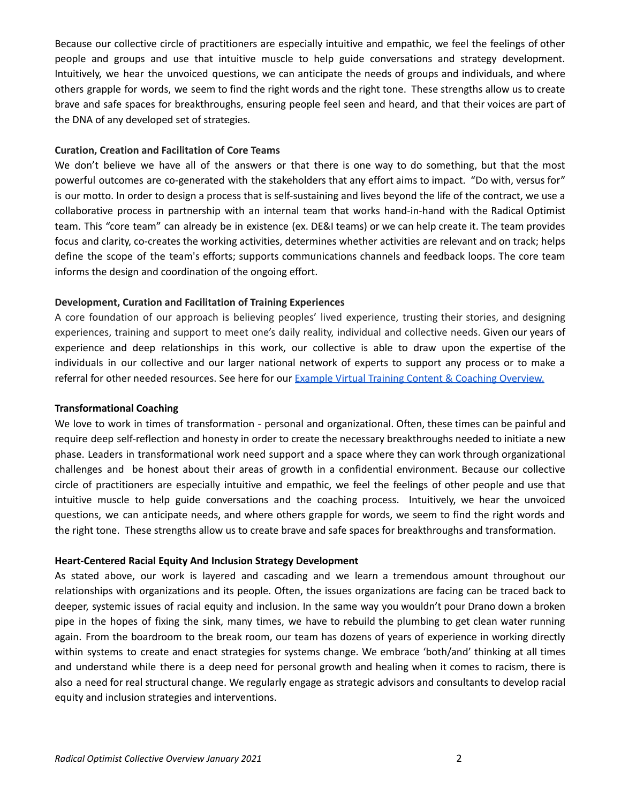Because our collective circle of practitioners are especially intuitive and empathic, we feel the feelings of other people and groups and use that intuitive muscle to help guide conversations and strategy development. Intuitively, we hear the unvoiced questions, we can anticipate the needs of groups and individuals, and where others grapple for words, we seem to find the right words and the right tone. These strengths allow us to create brave and safe spaces for breakthroughs, ensuring people feel seen and heard, and that their voices are part of the DNA of any developed set of strategies.

## **Curation, Creation and Facilitation of Core Teams**

We don't believe we have all of the answers or that there is one way to do something, but that the most powerful outcomes are co-generated with the stakeholders that any effort aims to impact. "Do with, versus for" is our motto. In order to design a process that is self-sustaining and lives beyond the life of the contract, we use a collaborative process in partnership with an internal team that works hand-in-hand with the Radical Optimist team. This "core team" can already be in existence (ex. DE&I teams) or we can help create it. The team provides focus and clarity, co-creates the working activities, determines whether activities are relevant and on track; helps define the scope of the team's efforts; supports communications channels and feedback loops. The core team informs the design and coordination of the ongoing effort.

## **Development, Curation and Facilitation of Training Experiences**

A core foundation of our approach is believing peoples' lived experience, trusting their stories, and designing experiences, training and support to meet one's daily reality, individual and collective needs. Given our years of experience and deep relationships in this work, our collective is able to draw upon the expertise of the individuals in our collective and our larger national network of experts to support any process or to make a referral for other needed resources. See here for our **Example Virtual Training Content & Coaching [Overview.](https://docs.google.com/document/d/1cWyoMiWmm-fq_OqQArXEu1VXFnwk0C13BCurEeNS5ag/edit?usp=sharing)** 

## **Transformational Coaching**

We love to work in times of transformation - personal and organizational. Often, these times can be painful and require deep self-reflection and honesty in order to create the necessary breakthroughs needed to initiate a new phase. Leaders in transformational work need support and a space where they can work through organizational challenges and be honest about their areas of growth in a confidential environment. Because our collective circle of practitioners are especially intuitive and empathic, we feel the feelings of other people and use that intuitive muscle to help guide conversations and the coaching process. Intuitively, we hear the unvoiced questions, we can anticipate needs, and where others grapple for words, we seem to find the right words and the right tone. These strengths allow us to create brave and safe spaces for breakthroughs and transformation.

## **Heart-Centered Racial Equity And Inclusion Strategy Development**

As stated above, our work is layered and cascading and we learn a tremendous amount throughout our relationships with organizations and its people. Often, the issues organizations are facing can be traced back to deeper, systemic issues of racial equity and inclusion. In the same way you wouldn't pour Drano down a broken pipe in the hopes of fixing the sink, many times, we have to rebuild the plumbing to get clean water running again. From the boardroom to the break room, our team has dozens of years of experience in working directly within systems to create and enact strategies for systems change. We embrace 'both/and' thinking at all times and understand while there is a deep need for personal growth and healing when it comes to racism, there is also a need for real structural change. We regularly engage as strategic advisors and consultants to develop racial equity and inclusion strategies and interventions.